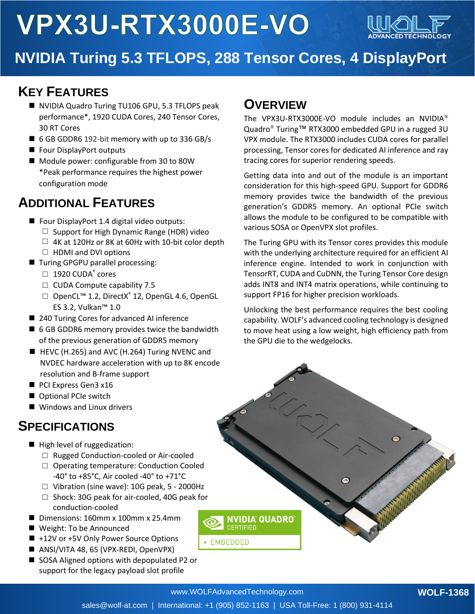# VPX3U-RTX3000E-VO



### **NVIDIA Turing 5.3 TFLOPS, 288 Tensor Cores, 4 DisplayPort**

#### **Outputs KEY FEATURES**

- NVIDIA Quadro Turing TU106 GPU, 5.3 TFLOPS peak performance\*, 1920 CUDA Cores, 240 Tensor Cores, 30 RT Cores
- 6 GB GDDR6 192-bit memory with up to 336 GB/s
- Four DisplayPort outputs
- Module power: configurable from 30 to 80W \*Peak performance requires the highest power configuration mode

#### **ADDITIONAL FEATURES**

- Four DisplayPort 1.4 digital video outputs:
	- $\Box$  Support for High Dynamic Range (HDR) video
	- $\Box$  4K at 120Hz or 8K at 60Hz with 10-bit color depth
	- $\Box$  HDMI and DVI options
- Turing GPGPU parallel processing:
	- $\Box$  1920 CUDA $^\circ$  cores
	- $\Box$  CUDA Compute capability 7.5
	- □ OpenCL<sup>™</sup> 1.2, DirectX<sup>®</sup> 12, OpenGL 4.6, OpenGL ES 3.2, Vulkan™ 1.0
- 240 Turing Cores for advanced AI inference
- 6 GB GDDR6 memory provides twice the bandwidth of the previous generation of GDDR5 memory
- HEVC (H.265) and AVC (H.264) Turing NVENC and NVDEC hardware acceleration with up to 8K encode resolution and B-frame support
- PCI Express Gen3 x16
- Optional PCIe switch
- Windows and Linux drivers

#### **SPECIFICATIONS**

- High level of ruggedization:
	- □ Rugged Conduction-cooled or Air-cooled
	- □ Operating temperature: Conduction Cooled -40° to +85°C, Air cooled -40° to +71°C
	- $\Box$  Vibration (sine wave): 10G peak, 5 2000Hz
	- □ Shock: 30G peak for air-cooled, 40G peak for conduction-cooled
- Dimensions: 160mm x 100mm x 25.4mm
- Weight: To be Announced
- +12V or +5V Only Power Source Options
- ANSI/VITA 48, 65 (VPX-REDI, OpenVPX)
- SOSA Aligned options with depopulated P2 or support for the legacy payload slot profile

#### **OVERVIEW**

The VPX3U-RTX3000E-VO module includes an NVIDIA<sup>®</sup> Quadro® Turing™ RTX3000 embedded GPU in a rugged 3U VPX module. The RTX3000 includes CUDA cores for parallel processing, Tensor cores for dedicated AI inference and ray tracing cores for superior rendering speeds.

Getting data into and out of the module is an important consideration for this high-speed GPU. Support for GDDR6 memory provides twice the bandwidth of the previous generation's GDDR5 memory. An optional PCIe switch allows the module to be configured to be compatible with various SOSA or OpenVPX slot profiles.

The Turing GPU with its Tensor cores provides this module with the underlying architecture required for an efficient AI inference engine. Intended to work in conjunction with TensorRT, CUDA and CuDNN, the Turing Tensor Core design adds INT8 and INT4 matrix operations, while continuing to support FP16 for higher precision workloads.

Unlocking the best performance requires the best cooling capability. WOLF's advanced cooling technology is designed to move heat using a low weight, high efficiency path from the GPU die to the wedgelocks.

G

 $\bullet$ 

www.WOLFAdvancedTechnology.com

CERTIFIED

• EMBEDDED

NVIDIA QUADRO

**WOLF-1368**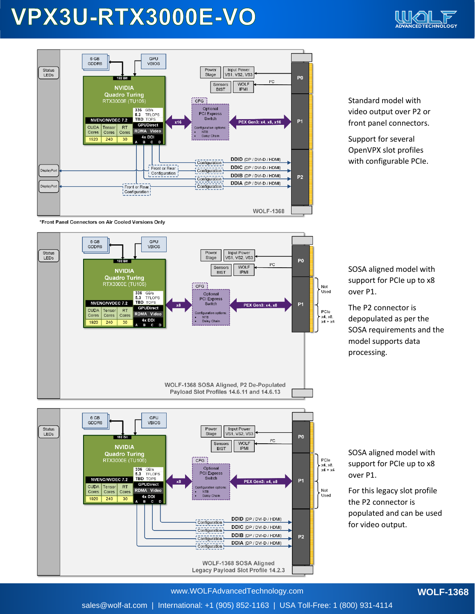## VPX3U-RTX3000E-VO





Standard model with video output over P2 or front panel connectors.

Support for several OpenVPX slot profiles with configurable PCIe.

\*Front Panel Connectors on Air Cooled Versions Only



SOSA aligned model with support for PCIe up to x8 over P1.

The P2 connector is depopulated as per the SOSA requirements and the model supports data processing.



SOSA aligned model with support for PCIe up to x8 over P1.

For this legacy slot profile the P2 connector is populated and can be used for video output.

www.WOLFAdvancedTechnology.com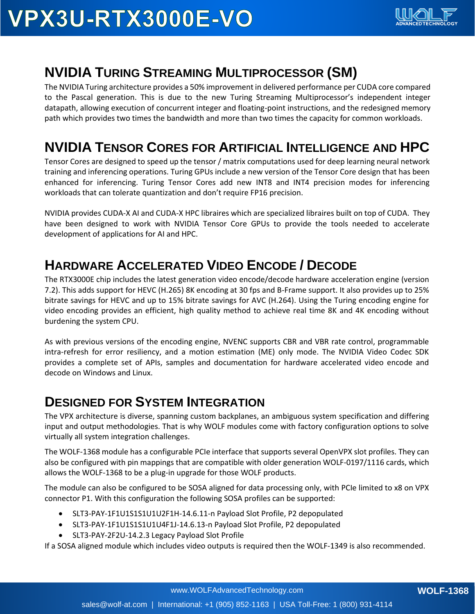#### **NVIDIA TURING STREAMING MULTIPROCESSOR (SM)**

The NVIDIA Turing architecture provides a 50% improvement in delivered performance per CUDA core compared to the Pascal generation. This is due to the new Turing Streaming Multiprocessor's independent integer datapath, allowing execution of concurrent integer and floating-point instructions, and the redesigned memory path which provides two times the bandwidth and more than two times the capacity for common workloads.

#### **NVIDIA TENSOR CORES FOR ARTIFICIAL INTELLIGENCE AND HPC**

Tensor Cores are designed to speed up the tensor / matrix computations used for deep learning neural network training and inferencing operations. Turing GPUs include a new version of the Tensor Core design that has been enhanced for inferencing. Turing Tensor Cores add new INT8 and INT4 precision modes for inferencing workloads that can tolerate quantization and don't require FP16 precision.

NVIDIA provides CUDA-X AI and CUDA-X HPC libraires which are specialized libraires built on top of CUDA. They have been designed to work with NVIDIA Tensor Core GPUs to provide the tools needed to accelerate development of applications for AI and HPC.

#### **HARDWARE ACCELERATED VIDEO ENCODE / DECODE**

The RTX3000E chip includes the latest generation video encode/decode hardware acceleration engine (version 7.2). This adds support for HEVC (H.265) 8K encoding at 30 fps and B-Frame support. It also provides up to 25% bitrate savings for HEVC and up to 15% bitrate savings for AVC (H.264). Using the Turing encoding engine for video encoding provides an efficient, high quality method to achieve real time 8K and 4K encoding without burdening the system CPU.

As with previous versions of the encoding engine, NVENC supports CBR and VBR rate control, programmable intra-refresh for error resiliency, and a motion estimation (ME) only mode. The NVIDIA Video Codec SDK provides a complete set of APIs, samples and documentation for hardware accelerated video encode and decode on Windows and Linux.

#### **DESIGNED FOR SYSTEM INTEGRATION**

The VPX architecture is diverse, spanning custom backplanes, an ambiguous system specification and differing input and output methodologies. That is why WOLF modules come with factory configuration options to solve virtually all system integration challenges.

The WOLF-1368 module has a configurable PCIe interface that supports several OpenVPX slot profiles. They can also be configured with pin mappings that are compatible with older generation WOLF-0197/1116 cards, which allows the WOLF-1368 to be a plug-in upgrade for those WOLF products.

The module can also be configured to be SOSA aligned for data processing only, with PCIe limited to x8 on VPX connector P1. With this configuration the following SOSA profiles can be supported:

- SLT3-PAY-1F1U1S1S1U1U2F1H-14.6.11-n Payload Slot Profile, P2 depopulated
- SLT3-PAY-1F1U1S1S1U1U4F1J-14.6.13-n Payload Slot Profile, P2 depopulated
- SLT3-PAY-2F2U-14.2.3 Legacy Payload Slot Profile

If a SOSA aligned module which includes video outputs is required then the WOLF-1349 is also recommended.